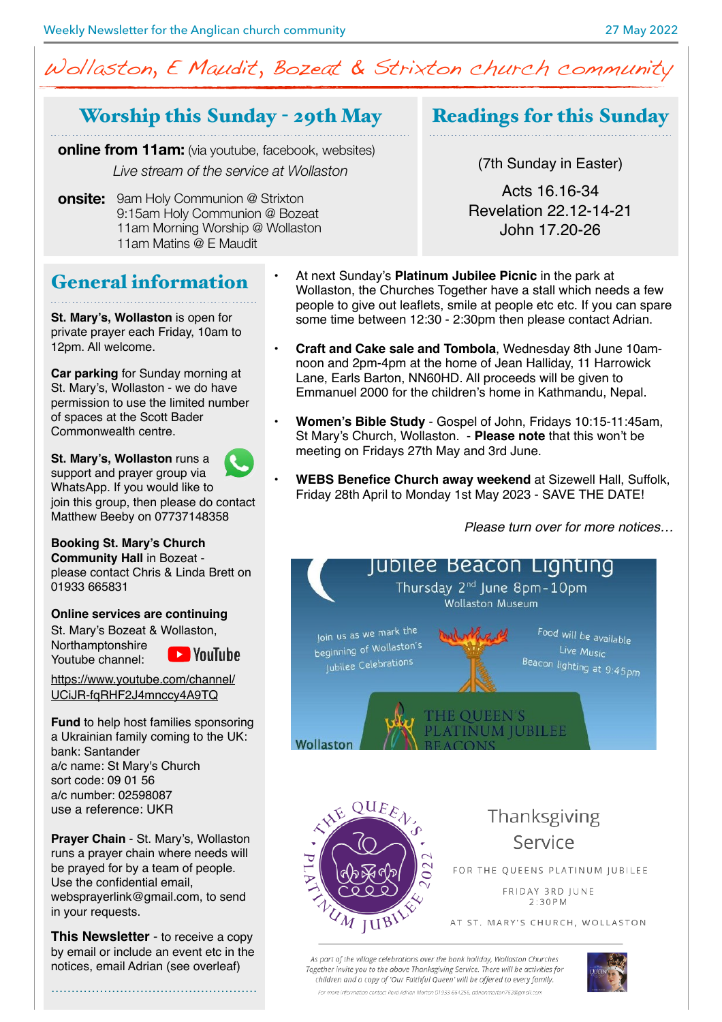# Wollaston, E Maudit, Bozeat & Strixton church community

## Worship this Sunday - 29th May

**online from 11am:** (via youtube, facebook, websites) *Live stream of the service at Wollaston*

**onsite:**  9am Holy Communion @ Strixton 9:15am Holy Communion @ Bozeat 11am Morning Worship @ Wollaston 11am Matins @ E Maudit

### Readings for this Sunday

(7th Sunday in Easter)

Acts 16.16-34 Revelation 22.12-14-21 John 17.20-26

General information

**St. Mary's, Wollaston** is open for private prayer each Friday, 10am to 12pm. All welcome.

**Car parking** for Sunday morning at St. Mary's, Wollaston - we do have permission to use the limited number of spaces at the Scott Bader Commonwealth centre.

**St. Mary's, Wollaston runs a** support and prayer group via WhatsApp. If you would like to join this group, then please do contact Matthew Beeby on 07737148358

#### **Booking St. Mary's Church**

**Community Hall** in Bozeat please contact Chris & Linda Brett on 01933 665831

#### **Online services are continuing**

St. Mary's Bozeat & Wollaston, Northamptonshire Youtube channel:

[UCiJR-fqRHF2J4mnccy4A9TQ](https://www.youtube.com/channel/UCiJR-fqRHF2J4mnccy4A9TQ)

use a reference: UKR

**Prayer Chain** - St. Mary's, Wollaston runs a prayer chain where needs will be prayed for by a team of people. Use the confidential email, [websprayerlink@gmail.com](mailto:websprayerlink@gmail.com), to send in your requests.

**This Newsletter** - to receive a copy by email or include an event etc in the notices, email Adrian (see overleaf)

……………………………………………

- At next Sunday's **Platinum Jubilee Picnic** in the park at Wollaston, the Churches Together have a stall which needs a few people to give out leaflets, smile at people etc etc. If you can spare some time between 12:30 - 2:30pm then please contact Adrian.
- **Craft and Cake sale and Tombola**, Wednesday 8th June 10amnoon and 2pm-4pm at the home of Jean Halliday, 11 Harrowick Lane, Earls Barton, NN60HD. All proceeds will be given to Emmanuel 2000 for the children's home in Kathmandu, Nepal.
- **Women's Bible Study** Gospel of John, Fridays 10:15-11:45am, St Mary's Church, Wollaston. - **Please note** that this won't be meeting on Fridays 27th May and 3rd June.
- **WEBS Benefice Church away weekend** at Sizewell Hall, Suffolk, Friday 28th April to Monday 1st May 2023 - SAVE THE DATE!

Jubilee Beacon Lighting

*Please turn over for more notices…*

**Ex** YouTube

[https://www.youtube.com/channel/](https://www.youtube.com/channel/UCiJR-fqRHF2J4mnccy4A9TQ)

**Fund** to help host families sponsoring a Ukrainian family coming to the UK: bank: Santander a/c name: St Mary's Church sort code: 09 01 56 a/c number: 02598087

Thursday 2<sup>nd</sup> June 8pm-10pm Wollaston Museum Join us as we mark the Food will be available She all of the beginning of Wollaston's Beacon lighting at 9:45pm Jubilee Celebrations **HE OUEEN'S TINUM IUBILEE** Wollastor  $2U_{E_{\mathcal{E}}}\$ Thanksgiving Service FOR THE QUEENS PLATINUM JUBILEE FRIDAY 3RD JUNE  $2:30PM$ AT ST. MARY'S CHURCH, WOLLASTON As part of the village celebrations over the bank holiday, Wollaston Churches Together invite you to the above Thanksgiving Service. There will be activities for children and a copy of 'Our Faithful Queen' will be offered to every family. .<br>Revd Adrian Morton 01933 664256, adric